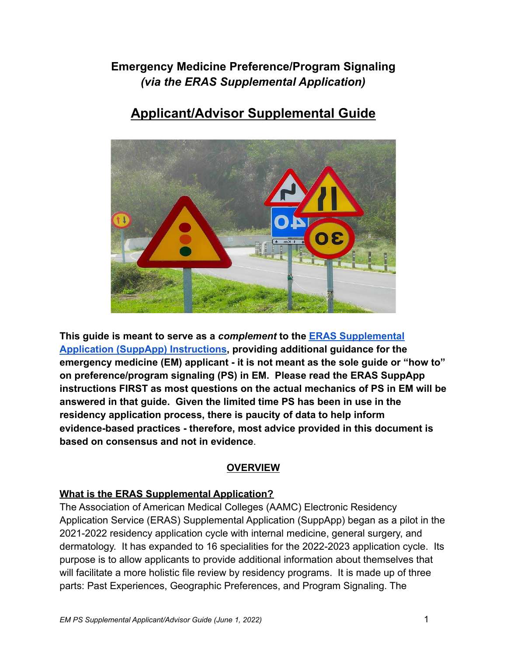## **Emergency Medicine Preference/Program Signaling** *(via the ERAS Supplemental Application)*

# **Applicant/Advisor Supplemental Guide**



**This guide is meant to serve as a** *complement* **to the [ERAS Supplemental](https://students-residents.aamc.org/media/12326/download?attachment) [Application \(SuppApp\) Instructions,](https://students-residents.aamc.org/media/12326/download?attachment) providing additional guidance for the emergency medicine (EM) applicant - it is not meant as the sole guide or "how to" on preference/program signaling (PS) in EM. Please read the ERAS SuppApp instructions FIRST as most questions on the actual mechanics of PS in EM will be answered in that guide. Given the limited time PS has been in use in the residency application process, there is paucity of data to help inform evidence-based practices - therefore, most advice provided in this document is based on consensus and not in evidence**.

## **OVERVIEW**

## **What is the ERAS Supplemental Application?**

The Association of American Medical Colleges (AAMC) Electronic Residency Application Service (ERAS) Supplemental Application (SuppApp) began as a pilot in the 2021-2022 residency application cycle with internal medicine, general surgery, and dermatology. It has expanded to 16 specialities for the 2022-2023 application cycle. Its purpose is to allow applicants to provide additional information about themselves that will facilitate a more holistic file review by residency programs. It is made up of three parts: Past Experiences, Geographic Preferences, and Program Signaling. The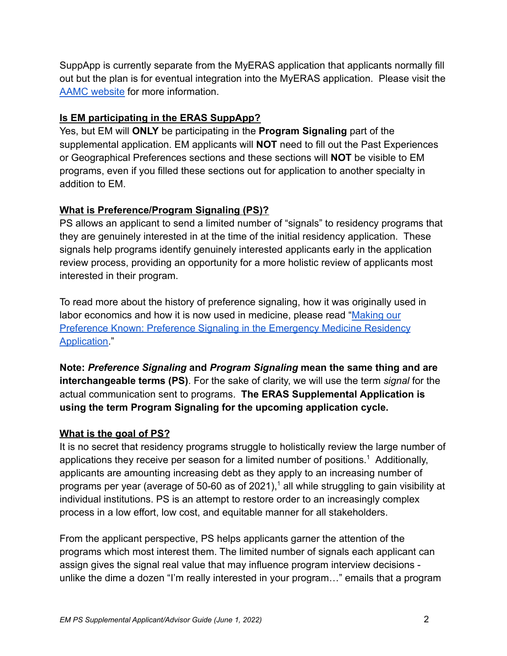SuppApp is currently separate from the MyERAS application that applicants normally fill out but the plan is for eventual integration into the MyERAS application. Please visit the [AAMC website](https://students-residents.aamc.org/applying-residencies-eras/supplemental-eras-application-eras-2023-cycle) for more information.

## **Is EM participating in the ERAS SuppApp?**

Yes, but EM will **ONLY** be participating in the **Program Signaling** part of the supplemental application. EM applicants will **NOT** need to fill out the Past Experiences or Geographical Preferences sections and these sections will **NOT** be visible to EM programs, even if you filled these sections out for application to another specialty in addition to EM.

## **What is Preference/Program Signaling (PS)?**

PS allows an applicant to send a limited number of "signals" to residency programs that they are genuinely interested in at the time of the initial residency application. These signals help programs identify genuinely interested applicants early in the application review process, providing an opportunity for a more holistic review of applicants most interested in their program.

To read more about the history of preference signaling, how it was originally used in labor economics and how it is now used in medicine, please read "[Making our](https://pubmed.ncbi.nlm.nih.gov/35060866/) [Preference Known: Preference Signaling in the Emergency Medicine Residency](https://pubmed.ncbi.nlm.nih.gov/35060866/) [Application.](https://pubmed.ncbi.nlm.nih.gov/35060866/)"

**Note:** *Preference Signaling* **and** *Program Signaling* **mean the same thing and are interchangeable terms (PS)**. For the sake of clarity, we will use the term *signal* for the actual communication sent to programs. **The ERAS Supplemental Application is using the term Program Signaling for the upcoming application cycle.**

## **What is the goal of PS?**

It is no secret that residency programs struggle to holistically review the large number of applications they receive per season for a limited number of positions.<sup>1</sup> Additionally, applicants are amounting increasing debt as they apply to an increasing number of programs per year (average of 50-60 as of 2021),<sup>1</sup> all while struggling to gain visibility at individual institutions. PS is an attempt to restore order to an increasingly complex process in a low effort, low cost, and equitable manner for all stakeholders.

From the applicant perspective, PS helps applicants garner the attention of the programs which most interest them. The limited number of signals each applicant can assign gives the signal real value that may influence program interview decisions unlike the dime a dozen "I'm really interested in your program…" emails that a program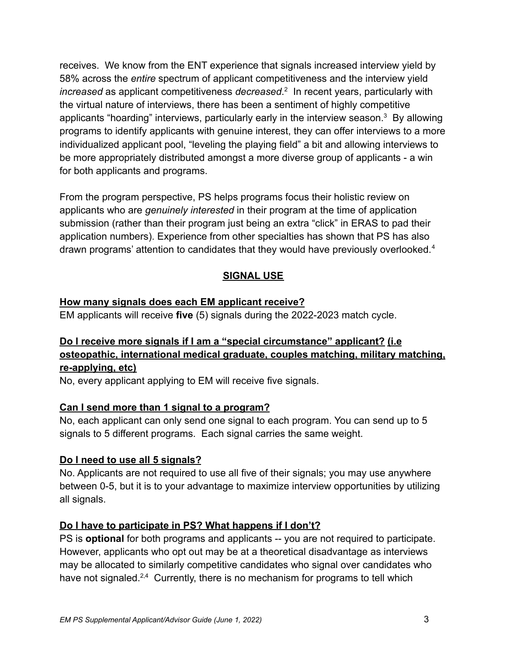receives. We know from the ENT experience that signals increased interview yield by 58% across the *entire* spectrum of applicant competitiveness and the interview yield *increased* as applicant competitiveness *decreased*. 2 In recent years, particularly with the virtual nature of interviews, there has been a sentiment of highly competitive applicants "hoarding" interviews, particularly early in the interview season. $3$  By allowing programs to identify applicants with genuine interest, they can offer interviews to a more individualized applicant pool, "leveling the playing field" a bit and allowing interviews to be more appropriately distributed amongst a more diverse group of applicants - a win for both applicants and programs.

From the program perspective, PS helps programs focus their holistic review on applicants who are *genuinely interested* in their program at the time of application submission (rather than their program just being an extra "click" in ERAS to pad their application numbers). Experience from other specialties has shown that PS has also drawn programs' attention to candidates that they would have previously overlooked.<sup>4</sup>

## **SIGNAL USE**

#### **How many signals does each EM applicant receive?**

EM applicants will receive **five** (5) signals during the 2022-2023 match cycle.

## **Do I receive more signals if I am a "special circumstance" applicant? (i.e osteopathic, international medical graduate, couples matching, military matching, re-applying, etc)**

No, every applicant applying to EM will receive five signals.

## **Can I send more than 1 signal to a program?**

No, each applicant can only send one signal to each program. You can send up to 5 signals to 5 different programs. Each signal carries the same weight.

## **Do I need to use all 5 signals?**

No. Applicants are not required to use all five of their signals; you may use anywhere between 0-5, but it is to your advantage to maximize interview opportunities by utilizing all signals.

## **Do I have to participate in PS? What happens if I don't?**

PS is **optional** for both programs and applicants -- you are not required to participate. However, applicants who opt out may be at a theoretical disadvantage as interviews may be allocated to similarly competitive candidates who signal over candidates who have not signaled.<sup>2,4</sup> Currently, there is no mechanism for programs to tell which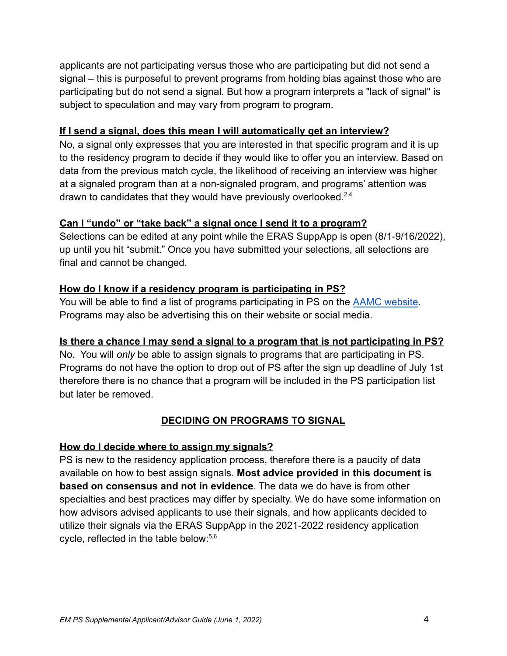applicants are not participating versus those who are participating but did not send a signal – this is purposeful to prevent programs from holding bias against those who are participating but do not send a signal. But how a program interprets a "lack of signal" is subject to speculation and may vary from program to program.

#### **If I send a signal, does this mean I will automatically get an interview?**

No, a signal only expresses that you are interested in that specific program and it is up to the residency program to decide if they would like to offer you an interview. Based on data from the previous match cycle, the likelihood of receiving an interview was higher at a signaled program than at a non-signaled program, and programs' attention was drawn to candidates that they would have previously overlooked.<sup>2,4</sup>

#### **Can I "undo" or "take back" a signal once I send it to a program?**

Selections can be edited at any point while the ERAS SuppApp is open (8/1-9/16/2022), up until you hit "submit." Once you have submitted your selections, all selections are final and cannot be changed.

## **How do I know if a residency program is participating in PS?**

You will be able to find a list of programs participating in PS on the [AAMC website](https://students-residents.aamc.org/applying-residencies-eras/programs-participating-supplemental-eras-application). Programs may also be advertising this on their website or social media.

## **Is there a chance I may send a signal to a program that is not participating in PS?**

No. You will *only* be able to assign signals to programs that are participating in PS. Programs do not have the option to drop out of PS after the sign up deadline of July 1st therefore there is no chance that a program will be included in the PS participation list but later be removed.

## **DECIDING ON PROGRAMS TO SIGNAL**

#### **How do I decide where to assign my signals?**

PS is new to the residency application process, therefore there is a paucity of data available on how to best assign signals. **Most advice provided in this document is based on consensus and not in evidence**. The data we do have is from other specialties and best practices may differ by specialty. We do have some information on how advisors advised applicants to use their signals, and how applicants decided to utilize their signals via the ERAS SuppApp in the 2021-2022 residency application cycle, reflected in the table below:5,6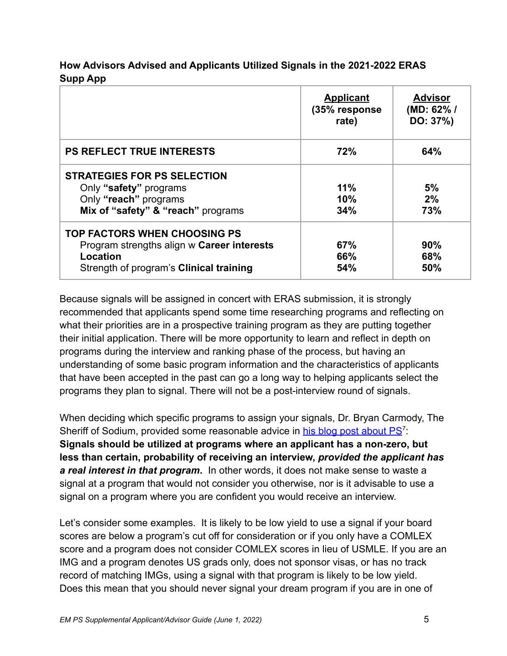#### **How Advisors Advised and Applicants Utilized Signals in the 2021-2022 ERAS Supp App**

|                                                                                                                                          | <b>Applicant</b><br>(35% response)<br>rate) | <u>Advisor</u><br>(MD: 62%/<br>DO: 37%) |
|------------------------------------------------------------------------------------------------------------------------------------------|---------------------------------------------|-----------------------------------------|
| <b>PS REFLECT TRUE INTERESTS</b>                                                                                                         | 72%                                         | 64%                                     |
| <b>STRATEGIES FOR PS SELECTION</b><br>Only "safety" programs<br>Only "reach" programs<br>Mix of "safety" & "reach" programs              | 11%<br>10%<br>34%                           | 5%<br>2%<br>73%                         |
| <b>TOP FACTORS WHEN CHOOSING PS</b><br>Program strengths align w Career interests<br>Location<br>Strength of program's Clinical training | 67%<br>66%<br>54%                           | 90%<br>68%<br>50%                       |

Because signals will be assigned in concert with ERAS submission, it is strongly recommended that applicants spend some time researching programs and reflecting on what their priorities are in a prospective training program as they are putting together their initial application. There will be more opportunity to learn and reflect in depth on programs during the interview and ranking phase of the process, but having an understanding of some basic program information and the characteristics of applicants that have been accepted in the past can go a long way to helping applicants select the programs they plan to signal. There will not be a post-interview round of signals.

When deciding which specific programs to assign your signals, Dr. Bryan Carmody, The Sheriff of Sodium, provided some reasonable advice in [his blog post about PS](https://thesheriffofsodium.com/2021/06/28/mailbag-eras-secondary-applications-and-preference-signaling/)<sup>7</sup>. **Signals should be utilized at programs where an applicant has a non-zero, but less than certain, probability of receiving an interview,** *provided the applicant has a real interest in that program***.** In other words, it does not make sense to waste a signal at a program that would not consider you otherwise, nor is it advisable to use a signal on a program where you are confident you would receive an interview.

Let's consider some examples. It is likely to be low yield to use a signal if your board scores are below a program's cut off for consideration or if you only have a COMLEX score and a program does not consider COMLEX scores in lieu of USMLE. If you are an IMG and a program denotes US grads only, does not sponsor visas, or has no track record of matching IMGs, using a signal with that program is likely to be low yield. Does this mean that you should never signal your dream program if you are in one of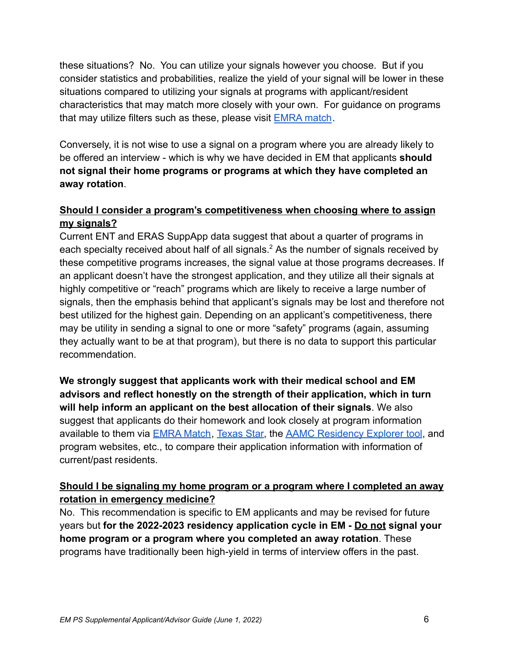these situations? No. You can utilize your signals however you choose. But if you consider statistics and probabilities, realize the yield of your signal will be lower in these situations compared to utilizing your signals at programs with applicant/resident characteristics that may match more closely with your own. For guidance on programs that may utilize filters such as these, please visit **[EMRA match](https://webapps.emra.org/utils/spa/match#/search/map)**.

Conversely, it is not wise to use a signal on a program where you are already likely to be offered an interview - which is why we have decided in EM that applicants **should not signal their home programs or programs at which they have completed an away rotation**.

## **Should I consider a program's competitiveness when choosing where to assign my signals?**

Current ENT and ERAS SuppApp data suggest that about a quarter of programs in each specialty received about half of all signals.<sup>2</sup> As the number of signals received by these competitive programs increases, the signal value at those programs decreases. If an applicant doesn't have the strongest application, and they utilize all their signals at highly competitive or "reach" programs which are likely to receive a large number of signals, then the emphasis behind that applicant's signals may be lost and therefore not best utilized for the highest gain. Depending on an applicant's competitiveness, there may be utility in sending a signal to one or more "safety" programs (again, assuming they actually want to be at that program), but there is no data to support this particular recommendation.

**We strongly suggest that applicants work with their medical school and EM advisors and reflect honestly on the strength of their application, which in turn will help inform an applicant on the best allocation of their signals**. We also suggest that applicants do their homework and look closely at program information available to them via [EMRA Match](https://webapps.emra.org/utils/spa/match#/search/map), [Texas Star,](https://www.utsouthwestern.edu/education/medical-school/about-the-school/student-affairs/texas-star.html) the [AAMC Residency Explorer tool](https://www.residencyexplorer.org/), and program websites, etc., to compare their application information with information of current/past residents.

## **Should I be signaling my home program or a program where I completed an away rotation in emergency medicine?**

No. This recommendation is specific to EM applicants and may be revised for future years but **for the 2022-2023 residency application cycle in EM - Do not signal your home program or a program where you completed an away rotation**. These programs have traditionally been high-yield in terms of interview offers in the past.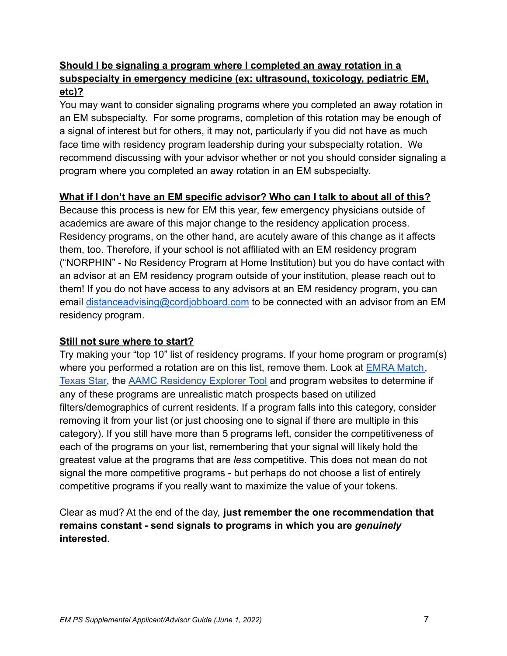#### **Should I be signaling a program where I completed an away rotation in a subspecialty in emergency medicine (ex: ultrasound, toxicology, pediatric EM, etc)?**

You may want to consider signaling programs where you completed an away rotation in an EM subspecialty. For some programs, completion of this rotation may be enough of a signal of interest but for others, it may not, particularly if you did not have as much face time with residency program leadership during your subspecialty rotation. We recommend discussing with your advisor whether or not you should consider signaling a program where you completed an away rotation in an EM subspecialty.

#### **What if I don't have an EM specific advisor? Who can I talk to about all of this?**

Because this process is new for EM this year, few emergency physicians outside of academics are aware of this major change to the residency application process. Residency programs, on the other hand, are acutely aware of this change as it affects them, too. Therefore, if your school is not affiliated with an EM residency program ("NORPHIN" - No Residency Program at Home Institution) but you do have contact with an advisor at an EM residency program outside of your institution, please reach out to them! If you do not have access to any advisors at an EM residency program, you can email [distanceadvising@cordjobboard.](mailto:distanceadvising@cordjobboard.org)com to be connected with an advisor from an EM residency program.

#### **Still not sure where to start?**

Try making your "top 10" list of residency programs. If your home program or program(s) where you performed a rotation are on this list, remove them. Look at **EMRA Match**, [Texas Star,](https://www.utsouthwestern.edu/education/medical-school/about-the-school/student-affairs/texas-star.html) the [AAMC Residency Explorer Tool](https://www.residencyexplorer.org/) and program websites to determine if any of these programs are unrealistic match prospects based on utilized filters/demographics of current residents. If a program falls into this category, consider removing it from your list (or just choosing one to signal if there are multiple in this category). If you still have more than 5 programs left, consider the competitiveness of each of the programs on your list, remembering that your signal will likely hold the greatest value at the programs that are *less* competitive. This does not mean do not signal the more competitive programs - but perhaps do not choose a list of entirely competitive programs if you really want to maximize the value of your tokens.

Clear as mud? At the end of the day, **just remember the one recommendation that remains constant - send signals to programs in which you are** *genuinely* **interested**.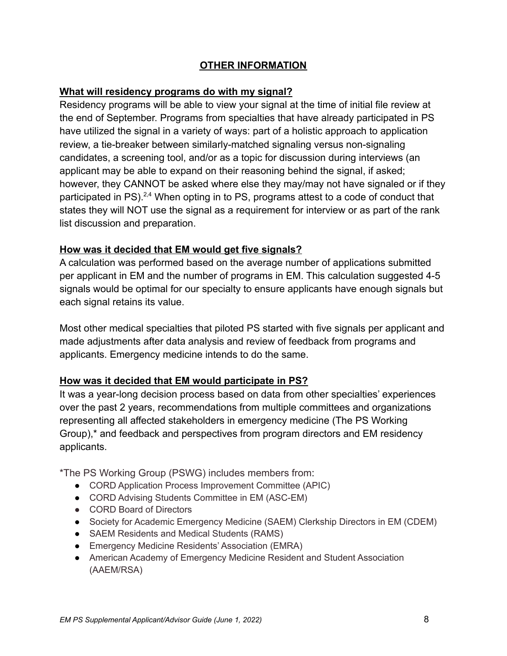#### **OTHER INFORMATION**

#### **What will residency programs do with my signal?**

Residency programs will be able to view your signal at the time of initial file review at the end of September. Programs from specialties that have already participated in PS have utilized the signal in a variety of ways: part of a holistic approach to application review, a tie-breaker between similarly-matched signaling versus non-signaling candidates, a screening tool, and/or as a topic for discussion during interviews (an applicant may be able to expand on their reasoning behind the signal, if asked; however, they CANNOT be asked where else they may/may not have signaled or if they participated in PS).<sup>2,4</sup> When opting in to PS, programs attest to a code of conduct that states they will NOT use the signal as a requirement for interview or as part of the rank list discussion and preparation.

#### **How was it decided that EM would get five signals?**

A calculation was performed based on the average number of applications submitted per applicant in EM and the number of programs in EM. This calculation suggested 4-5 signals would be optimal for our specialty to ensure applicants have enough signals but each signal retains its value.

Most other medical specialties that piloted PS started with five signals per applicant and made adjustments after data analysis and review of feedback from programs and applicants. Emergency medicine intends to do the same.

#### **How was it decided that EM would participate in PS?**

It was a year-long decision process based on data from other specialties' experiences over the past 2 years, recommendations from multiple committees and organizations representing all affected stakeholders in emergency medicine (The PS Working Group),\* and feedback and perspectives from program directors and EM residency applicants.

\*The PS Working Group (PSWG) includes members from:

- CORD Application Process Improvement Committee (APIC)
- CORD Advising Students Committee in EM (ASC-EM)
- CORD Board of Directors
- Society for Academic Emergency Medicine (SAEM) Clerkship Directors in EM (CDEM)
- SAEM Residents and Medical Students (RAMS)
- Emergency Medicine Residents' Association (EMRA)
- American Academy of Emergency Medicine Resident and Student Association (AAEM/RSA)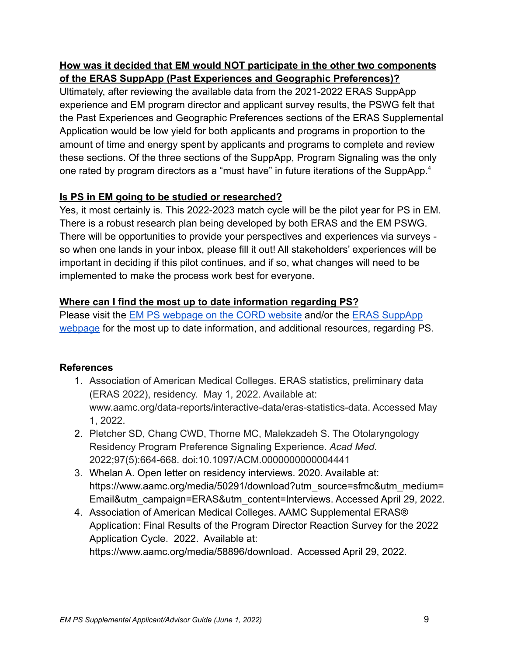#### **How was it decided that EM would NOT participate in the other two components of the ERAS SuppApp (Past Experiences and Geographic Preferences)?**

Ultimately, after reviewing the available data from the 2021-2022 ERAS SuppApp experience and EM program director and applicant survey results, the PSWG felt that the Past Experiences and Geographic Preferences sections of the ERAS Supplemental Application would be low yield for both applicants and programs in proportion to the amount of time and energy spent by applicants and programs to complete and review these sections. Of the three sections of the SuppApp, Program Signaling was the only one rated by program directors as a "must have" in future iterations of the SuppApp.<sup>4</sup>

## **Is PS in EM going to be studied or researched?**

Yes, it most certainly is. This 2022-2023 match cycle will be the pilot year for PS in EM. There is a robust research plan being developed by both ERAS and the EM PSWG. There will be opportunities to provide your perspectives and experiences via surveys so when one lands in your inbox, please fill it out! All stakeholders' experiences will be important in deciding if this pilot continues, and if so, what changes will need to be implemented to make the process work best for everyone.

## **Where can I find the most up to date information regarding PS?**

Please visit the [EM PS webpage on the CORD website](https://www.cordem.org/resources/preference-program-signaling/) and/or the [ERAS SuppApp](https://students-residents.aamc.org/applying-residencies-eras/supplemental-eras-application-eras-2023-cycle) [webpage](https://students-residents.aamc.org/applying-residencies-eras/supplemental-eras-application-eras-2023-cycle) for the most up to date information, and additional resources, regarding PS.

## **References**

- 1. Association of American Medical Colleges. ERAS statistics, preliminary data (ERAS 2022), residency. May 1, 2022. Available at: www.aamc.org/data-reports/interactive-data/eras-statistics-data. Accessed May 1, 2022.
- 2. Pletcher SD, Chang CWD, Thorne MC, Malekzadeh S. The Otolaryngology Residency Program Preference Signaling Experience. *Acad Med*. 2022;97(5):664-668. doi:10.1097/ACM.0000000000004441
- 3. Whelan A. Open letter on residency interviews. 2020. Available at: https://www.aamc.org/media/50291/download?utm\_source=sfmc&utm\_medium= Email&utm\_campaign=ERAS&utm\_content=Interviews. Accessed April 29, 2022.
- 4. Association of American Medical Colleges. AAMC Supplemental ERAS® Application: Final Results of the Program Director Reaction Survey for the 2022 Application Cycle. 2022. Available at: https://www.aamc.org/media/58896/download. Accessed April 29, 2022.